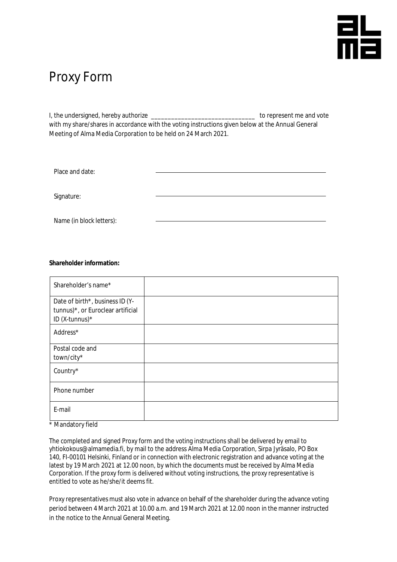## 뜲

## Proxy Form

I, the undersigned, hereby authorize \_\_\_\_\_\_\_\_\_\_\_\_\_\_\_\_\_\_\_\_\_\_\_\_\_\_\_\_\_\_\_ to represent me and vote with my share/shares in accordance with the voting instructions given below at the Annual General Meeting of Alma Media Corporation to be held on 24 March 2021.

| Place and date:          |  |
|--------------------------|--|
| Signature:               |  |
| Name (in block letters): |  |

**Shareholder information:**

| Shareholder's name*                                                  |  |
|----------------------------------------------------------------------|--|
| Date of birth*, business ID (Y-<br>tunnus)*, or Euroclear artificial |  |
| ID (X-tunnus)*                                                       |  |
| Address*                                                             |  |
| Postal code and                                                      |  |
| town/city*                                                           |  |
| Country*                                                             |  |
| Phone number                                                         |  |
| E-mail                                                               |  |

\* Mandatory field

The completed and signed Proxy form and the voting instructions shall be delivered by email to yhtiokokous@almamedia.fi, by mail to the address Alma Media Corporation, Sirpa Jyräsalo, PO Box 140, FI-00101 Helsinki, Finland or in connection with electronic registration and advance voting at the latest by 19 March 2021 at 12.00 noon, by which the documents must be received by Alma Media Corporation. If the proxy form is delivered without voting instructions, the proxy representative is entitled to vote as he/she/it deems fit.

Proxy representatives must also vote in advance on behalf of the shareholder during the advance voting period between 4 March 2021 at 10.00 a.m. and 19 March 2021 at 12.00 noon in the manner instructed in the notice to the Annual General Meeting.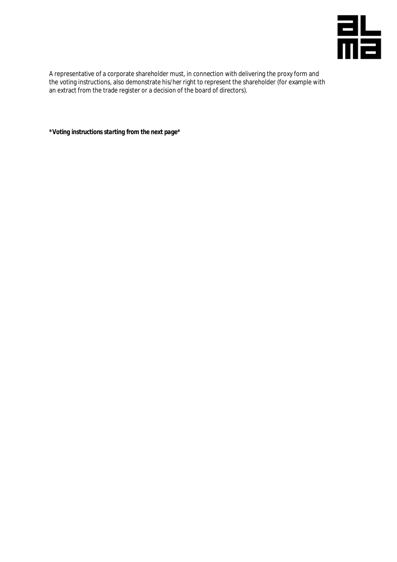

A representative of a corporate shareholder must, in connection with delivering the proxy form and the voting instructions, also demonstrate his/her right to represent the shareholder (for example with an extract from the trade register or a decision of the board of directors).

*\*Voting instructions starting from the next page\**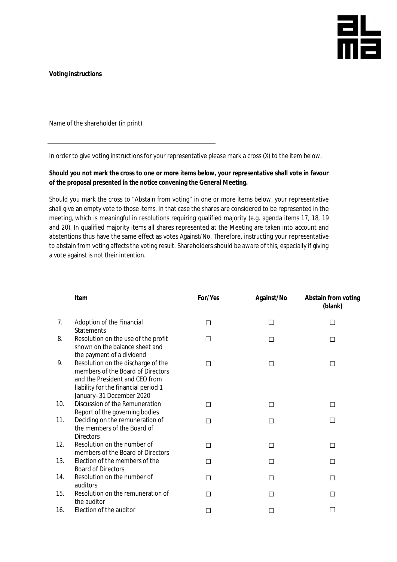

**Voting instructions**

Name of the shareholder (in print)

In order to give voting instructions for your representative please mark a cross (X) to the item below.

**Should you not mark the cross to one or more items below, your representative shall vote in favour of the proposal presented in the notice convening the General Meeting.**

Should you mark the cross to "Abstain from voting" in one or more items below, your representative shall give an empty vote to those items. In that case the shares are considered to be represented in the meeting, which is meaningful in resolutions requiring qualified majority (e.g. agenda items 17, 18, 19 and 20). In qualified majority items all shares represented at the Meeting are taken into account and abstentions thus have the same effect as votes Against/No. Therefore, instructing your representative to abstain from voting affects the voting result. Shareholders should be aware of this, especially if giving a vote against is not their intention.

|     | Item                                                                                                                                                                          | For/Yes | Against/No | Abstain from voting<br>(blank) |
|-----|-------------------------------------------------------------------------------------------------------------------------------------------------------------------------------|---------|------------|--------------------------------|
| 7.  | Adoption of the Financial<br><b>Statements</b>                                                                                                                                | □       | $\Box$     |                                |
| 8.  | Resolution on the use of the profit<br>shown on the balance sheet and<br>the payment of a dividend                                                                            | П       | П          | П                              |
| 9.  | Resolution on the discharge of the<br>members of the Board of Directors<br>and the President and CEO from<br>liability for the financial period 1<br>January-31 December 2020 | □       | $\Box$     | □                              |
| 10. | Discussion of the Remuneration<br>Report of the governing bodies                                                                                                              | □       | □          | $\Box$                         |
| 11. | Deciding on the remuneration of<br>the members of the Board of<br><b>Directors</b>                                                                                            | □       | П          |                                |
| 12. | Resolution on the number of<br>members of the Board of Directors                                                                                                              | □       | □          | □                              |
| 13. | Election of the members of the<br><b>Board of Directors</b>                                                                                                                   | П       | □          | $\Box$                         |
| 14. | Resolution on the number of<br>auditors                                                                                                                                       | П       | П          | П                              |
| 15. | Resolution on the remuneration of<br>the auditor                                                                                                                              | □       | П          | □                              |
| 16. | Election of the auditor                                                                                                                                                       | □       | □          |                                |